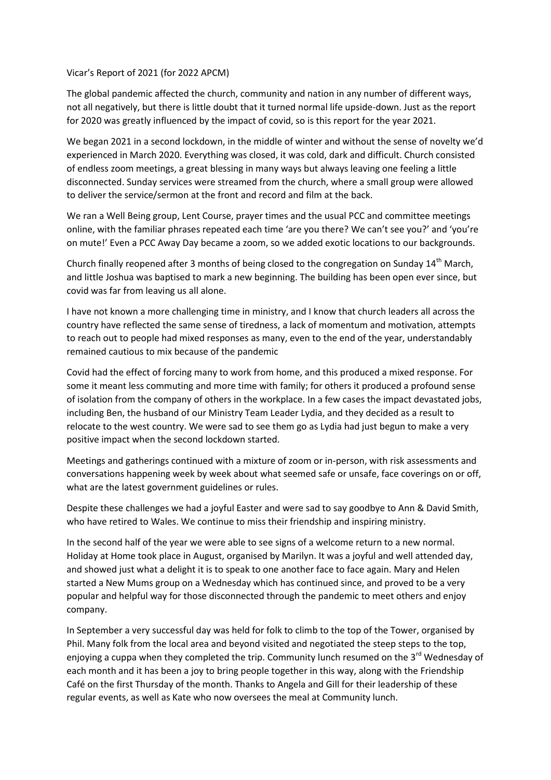## Vicar's Report of 2021 (for 2022 APCM)

The global pandemic affected the church, community and nation in any number of different ways, not all negatively, but there is little doubt that it turned normal life upside-down. Just as the report for 2020 was greatly influenced by the impact of covid, so is this report for the year 2021.

We began 2021 in a second lockdown, in the middle of winter and without the sense of novelty we'd experienced in March 2020. Everything was closed, it was cold, dark and difficult. Church consisted of endless zoom meetings, a great blessing in many ways but always leaving one feeling a little disconnected. Sunday services were streamed from the church, where a small group were allowed to deliver the service/sermon at the front and record and film at the back.

We ran a Well Being group, Lent Course, prayer times and the usual PCC and committee meetings online, with the familiar phrases repeated each time 'are you there? We can't see you?' and 'you're on mute!' Even a PCC Away Day became a zoom, so we added exotic locations to our backgrounds.

Church finally reopened after 3 months of being closed to the congregation on Sunday 14<sup>th</sup> March, and little Joshua was baptised to mark a new beginning. The building has been open ever since, but covid was far from leaving us all alone.

I have not known a more challenging time in ministry, and I know that church leaders all across the country have reflected the same sense of tiredness, a lack of momentum and motivation, attempts to reach out to people had mixed responses as many, even to the end of the year, understandably remained cautious to mix because of the pandemic

Covid had the effect of forcing many to work from home, and this produced a mixed response. For some it meant less commuting and more time with family; for others it produced a profound sense of isolation from the company of others in the workplace. In a few cases the impact devastated jobs, including Ben, the husband of our Ministry Team Leader Lydia, and they decided as a result to relocate to the west country. We were sad to see them go as Lydia had just begun to make a very positive impact when the second lockdown started.

Meetings and gatherings continued with a mixture of zoom or in-person, with risk assessments and conversations happening week by week about what seemed safe or unsafe, face coverings on or off, what are the latest government guidelines or rules.

Despite these challenges we had a joyful Easter and were sad to say goodbye to Ann & David Smith, who have retired to Wales. We continue to miss their friendship and inspiring ministry.

In the second half of the year we were able to see signs of a welcome return to a new normal. Holiday at Home took place in August, organised by Marilyn. It was a joyful and well attended day, and showed just what a delight it is to speak to one another face to face again. Mary and Helen started a New Mums group on a Wednesday which has continued since, and proved to be a very popular and helpful way for those disconnected through the pandemic to meet others and enjoy company.

In September a very successful day was held for folk to climb to the top of the Tower, organised by Phil. Many folk from the local area and beyond visited and negotiated the steep steps to the top, enjoying a cuppa when they completed the trip. Community lunch resumed on the  $3<sup>rd</sup>$  Wednesday of each month and it has been a joy to bring people together in this way, along with the Friendship Café on the first Thursday of the month. Thanks to Angela and Gill for their leadership of these regular events, as well as Kate who now oversees the meal at Community lunch.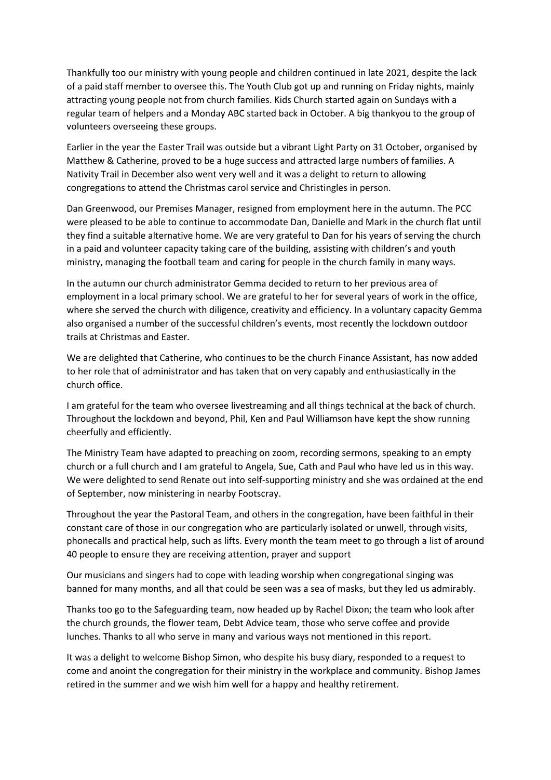Thankfully too our ministry with young people and children continued in late 2021, despite the lack of a paid staff member to oversee this. The Youth Club got up and running on Friday nights, mainly attracting young people not from church families. Kids Church started again on Sundays with a regular team of helpers and a Monday ABC started back in October. A big thankyou to the group of volunteers overseeing these groups.

Earlier in the year the Easter Trail was outside but a vibrant Light Party on 31 October, organised by Matthew & Catherine, proved to be a huge success and attracted large numbers of families. A Nativity Trail in December also went very well and it was a delight to return to allowing congregations to attend the Christmas carol service and Christingles in person.

Dan Greenwood, our Premises Manager, resigned from employment here in the autumn. The PCC were pleased to be able to continue to accommodate Dan, Danielle and Mark in the church flat until they find a suitable alternative home. We are very grateful to Dan for his years of serving the church in a paid and volunteer capacity taking care of the building, assisting with children's and youth ministry, managing the football team and caring for people in the church family in many ways.

In the autumn our church administrator Gemma decided to return to her previous area of employment in a local primary school. We are grateful to her for several years of work in the office, where she served the church with diligence, creativity and efficiency. In a voluntary capacity Gemma also organised a number of the successful children's events, most recently the lockdown outdoor trails at Christmas and Easter.

We are delighted that Catherine, who continues to be the church Finance Assistant, has now added to her role that of administrator and has taken that on very capably and enthusiastically in the church office.

I am grateful for the team who oversee livestreaming and all things technical at the back of church. Throughout the lockdown and beyond, Phil, Ken and Paul Williamson have kept the show running cheerfully and efficiently.

The Ministry Team have adapted to preaching on zoom, recording sermons, speaking to an empty church or a full church and I am grateful to Angela, Sue, Cath and Paul who have led us in this way. We were delighted to send Renate out into self-supporting ministry and she was ordained at the end of September, now ministering in nearby Footscray.

Throughout the year the Pastoral Team, and others in the congregation, have been faithful in their constant care of those in our congregation who are particularly isolated or unwell, through visits, phonecalls and practical help, such as lifts. Every month the team meet to go through a list of around 40 people to ensure they are receiving attention, prayer and support

Our musicians and singers had to cope with leading worship when congregational singing was banned for many months, and all that could be seen was a sea of masks, but they led us admirably.

Thanks too go to the Safeguarding team, now headed up by Rachel Dixon; the team who look after the church grounds, the flower team, Debt Advice team, those who serve coffee and provide lunches. Thanks to all who serve in many and various ways not mentioned in this report.

It was a delight to welcome Bishop Simon, who despite his busy diary, responded to a request to come and anoint the congregation for their ministry in the workplace and community. Bishop James retired in the summer and we wish him well for a happy and healthy retirement.